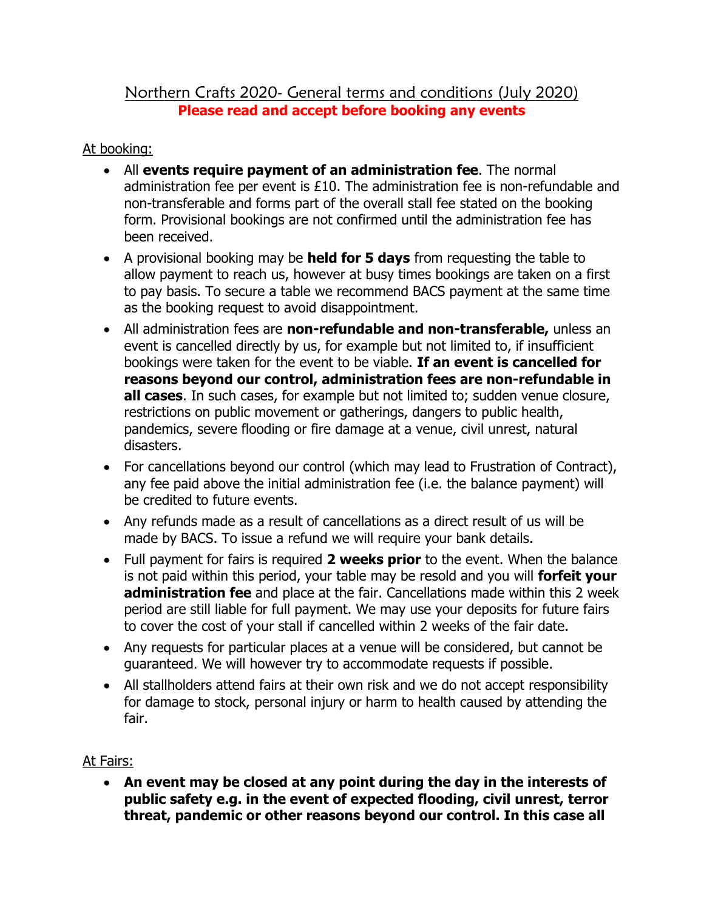## Northern Crafts 2020- General terms and conditions (July 2020) **Please read and accept before booking any events**

## At booking:

- All **events require payment of an administration fee**. The normal administration fee per event is £10. The administration fee is non-refundable and non-transferable and forms part of the overall stall fee stated on the booking form. Provisional bookings are not confirmed until the administration fee has been received.
- A provisional booking may be **held for 5 days** from requesting the table to allow payment to reach us, however at busy times bookings are taken on a first to pay basis. To secure a table we recommend BACS payment at the same time as the booking request to avoid disappointment.
- All administration fees are **non-refundable and non-transferable,** unless an event is cancelled directly by us, for example but not limited to, if insufficient bookings were taken for the event to be viable. **If an event is cancelled for reasons beyond our control, administration fees are non-refundable in all cases**. In such cases, for example but not limited to; sudden venue closure, restrictions on public movement or gatherings, dangers to public health, pandemics, severe flooding or fire damage at a venue, civil unrest, natural disasters.
- For cancellations beyond our control (which may lead to Frustration of Contract), any fee paid above the initial administration fee (i.e. the balance payment) will be credited to future events.
- Any refunds made as a result of cancellations as a direct result of us will be made by BACS. To issue a refund we will require your bank details.
- Full payment for fairs is required **2 weeks prior** to the event. When the balance is not paid within this period, your table may be resold and you will **forfeit your administration fee** and place at the fair. Cancellations made within this 2 week period are still liable for full payment. We may use your deposits for future fairs to cover the cost of your stall if cancelled within 2 weeks of the fair date.
- Any requests for particular places at a venue will be considered, but cannot be guaranteed. We will however try to accommodate requests if possible.
- All stallholders attend fairs at their own risk and we do not accept responsibility for damage to stock, personal injury or harm to health caused by attending the fair.

## At Fairs:

• **An event may be closed at any point during the day in the interests of public safety e.g. in the event of expected flooding, civil unrest, terror threat, pandemic or other reasons beyond our control. In this case all**